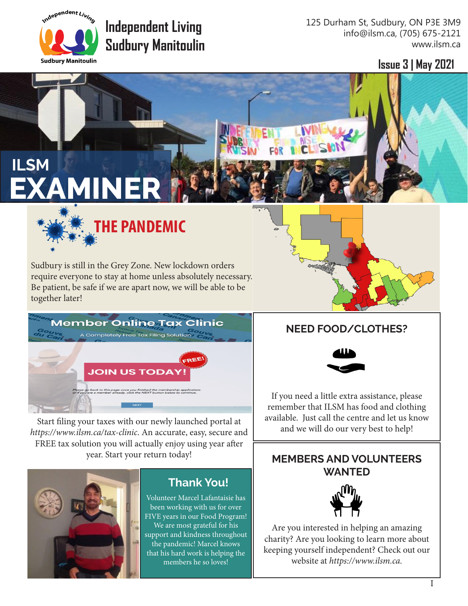

# **Independent Living Sudbury Manitoulin**

125 Durham St, Sudbury, ON P3E 3M9 info@ilsm.ca, (705) 675-2121 www.ilsm.ca

**Issue 3 | May 2021**

# **ILSM EXAMINER**



Sudbury is still in the Grey Zone. New lockdown orders require everyone to stay at home unless absolutely necessary. Be patient, be safe if we are apart now, we will be able to be together later!



Start filing your taxes with our newly launched portal at *https://www.ilsm.ca/tax-clinic*. An accurate, easy, secure and FREE tax solution you will actually enjoy using year after year. Start your return today!



### **Thank You!**

Volunteer Marcel Lafantaisie has been working with us for over FIVE years in our Food Program! We are most grateful for his support and kindness throughout the pandemic! Marcel knows that his hard work is helping the members he so loves!

### **NEED FOOD/CLOTHES?**



If you need a little extra assistance, please remember that ILSM has food and clothing available. Just call the centre and let us know and we will do our very best to help!

#### **MEMBERS AND VOLUNTEERS WANTED**



Are you interested in helping an amazing charity? Are you looking to learn more about keeping yourself independent? Check out our website at *https://www.ilsm.ca.*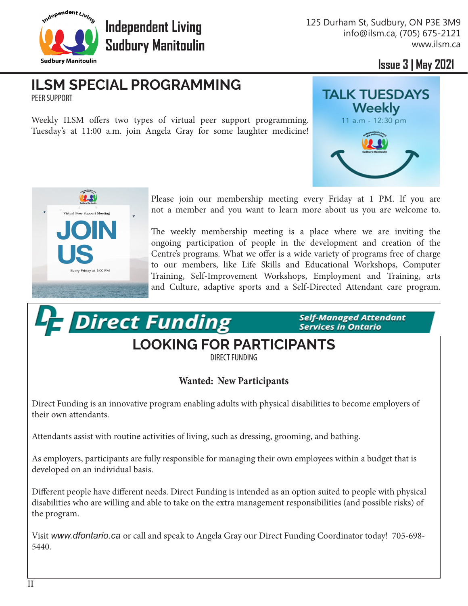

**Independent Living Sudbury Manitoulin** 125 Durham St, Sudbury, ON P3E 3M9 info@ilsm.ca, (705) 675-2121 www.ilsm.ca

**Issue 3 | May 2021**

#### **ILSM SPECIAL PROGRAMMING** PEER SUPPORT

**Les Direct Funding** 

Weekly ILSM offers two types of virtual peer support programming. Tuesday's at 11:00 a.m. join Angela Gray for some laughter medicine!





Please join our membership meeting every Friday at 1 PM. If you are not a member and you want to learn more about us you are welcome to.

The weekly membership meeting is a place where we are inviting the ongoing participation of people in the development and creation of the Centre's programs. What we offer is a wide variety of programs free of charge to our members, like Life Skills and Educational Workshops, Computer Training, Self-Improvement Workshops, Employment and Training, arts and Culture, adaptive sports and a Self-Directed Attendant care program.

> **Self-Managed Attendant Services in Ontario**

## **LOOKING FOR PARTICIPANTS**

DIRECT FUNDING

#### **Wanted: New Participants**

Direct Funding is an innovative program enabling adults with physical disabilities to become employers of their own attendants.

Attendants assist with routine activities of living, such as dressing, grooming, and bathing.

As employers, participants are fully responsible for managing their own employees within a budget that is developed on an individual basis.

Different people have different needs. Direct Funding is intended as an option suited to people with physical disabilities who are willing and able to take on the extra management responsibilities (and possible risks) of the program.

Visit *www.dfontario.ca* or call and speak to Angela Gray our Direct Funding Coordinator today! 705-698- 5440.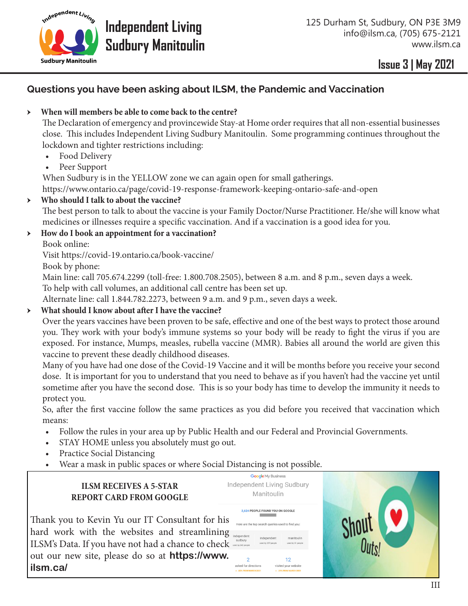

### **Issue 3 | May 2021 Issue 3 | May 2021**

#### **Questions you have been asking about ILSM, the Pandemic and Vaccination**

#### ӹ **When will members be able to come back to the centre?**

The Declaration of emergency and provincewide Stay-at Home order requires that all non-essential businesses close. This includes Independent Living Sudbury Manitoulin. Some programming continues throughout the lockdown and tighter restrictions including:

- Food Delivery
- Peer Support

When Sudbury is in the YELLOW zone we can again open for small gatherings.

https://www.ontario.ca/page/covid-19-response-framework-keeping-ontario-safe-and-open

#### ӹ **Who should I talk to about the vaccine?**

The best person to talk to about the vaccine is your Family Doctor/Nurse Practitioner. He/she will know what medicines or illnesses require a specific vaccination. And if a vaccination is a good idea for you.

#### ӹ **How do I book an appointment for a vaccination?**

Book online:

Visit https://covid-19.ontario.ca/book-vaccine/

Book by phone:

Main line: call 705.674.2299 (toll-free: 1.800.708.2505), between 8 a.m. and 8 p.m., seven days a week.

To help with call volumes, an additional call centre has been set up.

Alternate line: call 1.844.782.2273, between 9 a.m. and 9 p.m., seven days a week.

#### ӹ **What should I know about after I have the vaccine?**

Over the years vaccines have been proven to be safe, effective and one of the best ways to protect those around you. They work with your body's immune systems so your body will be ready to fight the virus if you are exposed. For instance, Mumps, measles, rubella vaccine (MMR). Babies all around the world are given this vaccine to prevent these deadly childhood diseases.

Many of you have had one dose of the Covid-19 Vaccine and it will be months before you receive your second dose. It is important for you to understand that you need to behave as if you haven't had the vaccine yet until sometime after you have the second dose. This is so your body has time to develop the immunity it needs to protect you.

So, after the first vaccine follow the same practices as you did before you received that vaccination which means:

- Follow the rules in your area up by Public Health and our Federal and Provincial Governments.
- STAY HOME unless you absolutely must go out.
- Practice Social Distancing
- Wear a mask in public spaces or where Social Distancing is not possible.

#### **ILSM RECEIVES A 5-STAR REPORT CARD FROM GOOGLE**

Thank you to Kevin Yu our IT Consultant for his hard work with the websites and streamlining ILSM's Data. If you have not had a chance to check out our new site, please do so at **https://www. ilsm.ca/**